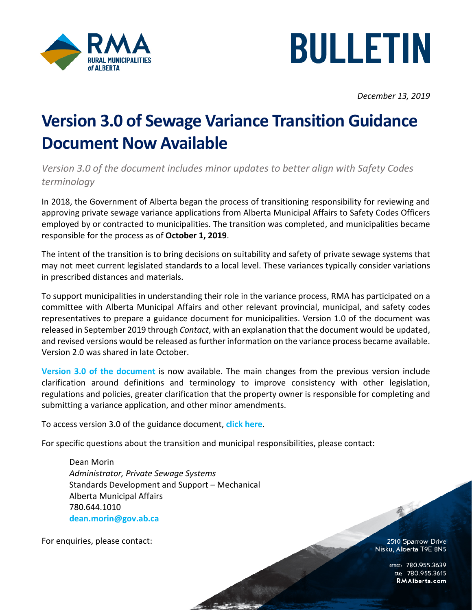



*December 13, 2019*

## **Version 3.0 of Sewage Variance Transition Guidance Document Now Available**

*Version 3.0 of the document includes minor updates to better align with Safety Codes terminology*

In 2018, the Government of Alberta began the process of transitioning responsibility for reviewing and approving private sewage variance applications from Alberta Municipal Affairs to Safety Codes Officers employed by or contracted to municipalities. The transition was completed, and municipalities became responsible for the process as of **October 1, 2019**.

The intent of the transition is to bring decisions on suitability and safety of private sewage systems that may not meet current legislated standards to a local level. These variances typically consider variations in prescribed distances and materials.

To support municipalities in understanding their role in the variance process, RMA has participated on a committee with Alberta Municipal Affairs and other relevant provincial, municipal, and safety codes representatives to prepare a guidance document for municipalities. Version 1.0 of the document was released in September 2019 through *Contact*, with an explanation that the document would be updated, and revised versions would be released as further information on the variance process became available. Version 2.0 was shared in late October.

**Version 3.0 [of the document](http://rmalberta.com/wp-content/uploads/2019/12/12-13-19-Sewage-Variance-Guidance-Document-v.-3.pdf)** is now available. The main changes from the previous version include clarification around definitions and terminology to improve consistency with other legislation, regulations and policies, greater clarification that the property owner is responsible for completing and submitting a variance application, and other minor amendments.

To access version 3.0 of the guidance document, **[click here](http://rmalberta.com/wp-content/uploads/2019/12/12-13-19-Sewage-Variance-Guidance-Document-v.-3.pdf)**.

For specific questions about the transition and municipal responsibilities, please contact:

Dean Morin *Administrator, Private Sewage Systems* Standards Development and Support – Mechanical Alberta Municipal Affairs 780.644.1010 **[dean.morin@gov.ab.ca](mailto:dean.morin@gov.ab.ca)**

For enquiries, please contact:

2510 Sparrow Drive Nisku, Alberta T9E 8N5

不

OFFICE: 780.955.3639<br>15.780.955.3615 RMAIberta.com